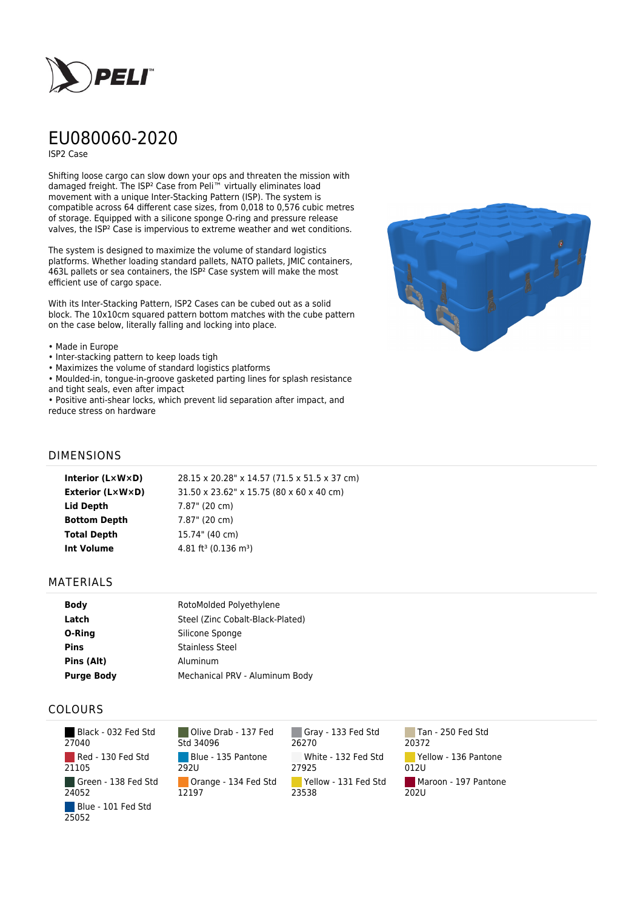

# EU080060-2020

ISP2 Case

Shifting loose cargo can slow down your ops and threaten the mission with damaged freight. The ISP² Case from Peli™ virtually eliminates load movement with a unique Inter-Stacking Pattern (ISP). The system is compatible across 64 different case sizes, from 0,018 to 0,576 cubic metres of storage. Equipped with a silicone sponge O-ring and pressure release valves, the ISP² Case is impervious to extreme weather and wet conditions.

The system is designed to maximize the volume of standard logistics platforms. Whether loading standard pallets, NATO pallets, JMIC containers, 463L pallets or sea containers, the ISP² Case system will make the most efficient use of cargo space.

With its Inter-Stacking Pattern, ISP2 Cases can be cubed out as a solid block. The 10x10cm squared pattern bottom matches with the cube pattern on the case below, literally falling and locking into place.

#### • Made in Europe

- Inter-stacking pattern to keep loads tigh
- Maximizes the volume of standard logistics platforms
- Moulded-in, tongue-in-groove gasketed parting lines for splash resistance and tight seals, even after impact

• Positive anti-shear locks, which prevent lid separation after impact, and reduce stress on hardware



### DIMENSIONS

| Interior (LxWxD)        | 28.15 x 20.28" x 14.57 (71.5 x 51.5 x 37 cm) |
|-------------------------|----------------------------------------------|
| <b>Exterior (L×W×D)</b> | 31.50 x 23.62" x 15.75 (80 x 60 x 40 cm)     |
| Lid Depth               | 7.87" (20 cm)                                |
| <b>Bottom Depth</b>     | 7.87" (20 cm)                                |
| <b>Total Depth</b>      | 15.74" (40 cm)                               |
| Int Volume              | 4.81 ft <sup>3</sup> (0.136 m <sup>3</sup> ) |
|                         |                                              |

#### MATERIALS

| <b>Body</b>       | RotoMolded Polyethylene          |
|-------------------|----------------------------------|
| Latch             | Steel (Zinc Cobalt-Black-Plated) |
| O-Ring            | Silicone Sponge                  |
| <b>Pins</b>       | <b>Stainless Steel</b>           |
| Pins (Alt)        | Aluminum                         |
| <b>Purge Body</b> | Mechanical PRV - Aluminum Body   |

## COLOURS

 Black - 032 Fed Std 27040 Red - 130 Fed Std 21105 Green - 138 Fed Std 24052 Blue - 101 Fed Std 25052

Olive Drab - 137 Fed Std 34096 Blue - 135 Pantone 292U Orange - 134 Fed Std 12197

Gray - 133 Fed Std 26270 White - 132 Fed Std 27925 Yellow - 131 Fed Std 23538

Tan - 250 Fed Std 20372 Yellow - 136 Pantone 012U Maroon - 197 Pantone  $202U$